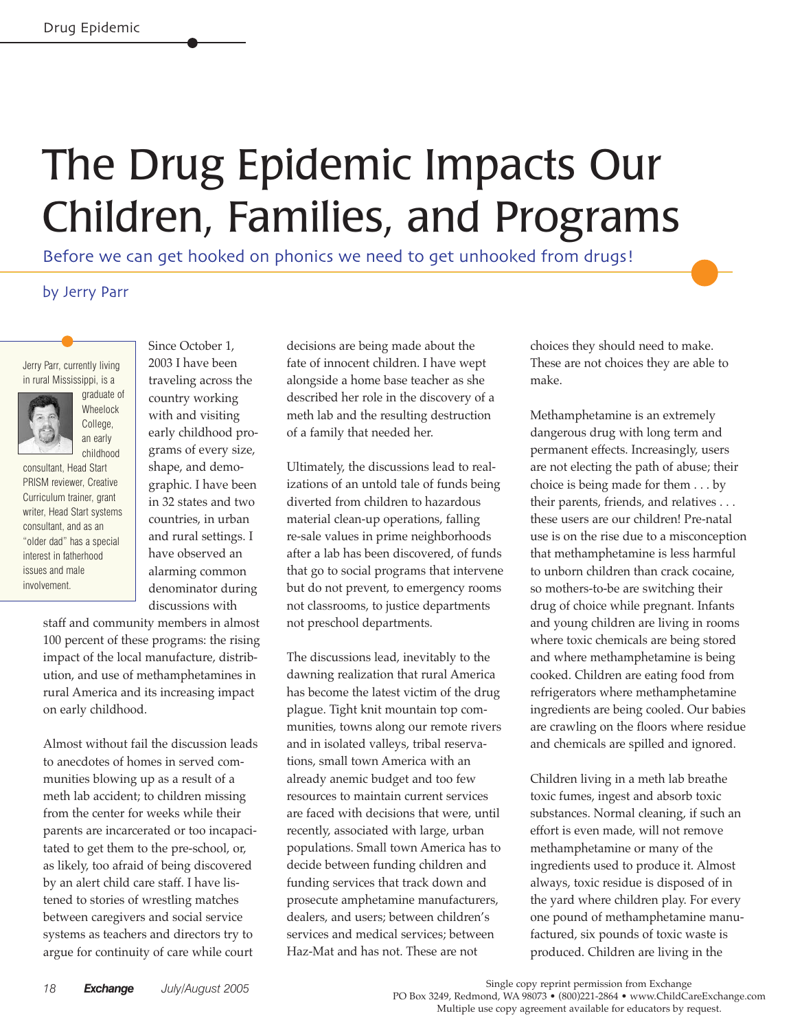## The Drug Epidemic Impacts Our Children, Families, and Programs

Before we can get hooked on phonics we need to get unhooked from drugs!

## by Jerry Parr

Jerry Parr, currently living in rural Mississippi, is a



consultant, Head Start PRISM reviewer, Creative Curriculum trainer, grant writer, Head Start systems consultant, and as an "older dad" has a special interest in fatherhood issues and male involvement.

2003 I have been traveling across the country working with and visiting early childhood programs of every size, shape, and demographic. I have been in 32 states and two countries, in urban and rural settings. I have observed an alarming common denominator during discussions with

Since October 1,

staff and community members in almost 100 percent of these programs: the rising impact of the local manufacture, distribution, and use of methamphetamines in rural America and its increasing impact on early childhood.

Almost without fail the discussion leads to anecdotes of homes in served communities blowing up as a result of a meth lab accident; to children missing from the center for weeks while their parents are incarcerated or too incapacitated to get them to the pre-school, or, as likely, too afraid of being discovered by an alert child care staff. I have listened to stories of wrestling matches between caregivers and social service systems as teachers and directors try to argue for continuity of care while court

decisions are being made about the fate of innocent children. I have wept alongside a home base teacher as she described her role in the discovery of a meth lab and the resulting destruction of a family that needed her.

Ultimately, the discussions lead to realizations of an untold tale of funds being diverted from children to hazardous material clean-up operations, falling re-sale values in prime neighborhoods after a lab has been discovered, of funds that go to social programs that intervene but do not prevent, to emergency rooms not classrooms, to justice departments not preschool departments.

The discussions lead, inevitably to the dawning realization that rural America has become the latest victim of the drug plague. Tight knit mountain top communities, towns along our remote rivers and in isolated valleys, tribal reservations, small town America with an already anemic budget and too few resources to maintain current services are faced with decisions that were, until recently, associated with large, urban populations. Small town America has to decide between funding children and funding services that track down and prosecute amphetamine manufacturers, dealers, and users; between children's services and medical services; between Haz-Mat and has not. These are not

choices they should need to make. These are not choices they are able to make.

Methamphetamine is an extremely dangerous drug with long term and permanent effects. Increasingly, users are not electing the path of abuse; their choice is being made for them . . . by their parents, friends, and relatives . . . these users are our children! Pre-natal use is on the rise due to a misconception that methamphetamine is less harmful to unborn children than crack cocaine, so mothers-to-be are switching their drug of choice while pregnant. Infants and young children are living in rooms where toxic chemicals are being stored and where methamphetamine is being cooked. Children are eating food from refrigerators where methamphetamine ingredients are being cooled. Our babies are crawling on the floors where residue and chemicals are spilled and ignored.

Children living in a meth lab breathe toxic fumes, ingest and absorb toxic substances. Normal cleaning, if such an effort is even made, will not remove methamphetamine or many of the ingredients used to produce it. Almost always, toxic residue is disposed of in the yard where children play. For every one pound of methamphetamine manufactured, six pounds of toxic waste is produced. Children are living in the

 Single copy reprint permission from Exchange PO Box 3249, Redmond, WA 98073 • (800)221-2864 • www.ChildCareExchange.com Multiple use copy agreement available for educators by request.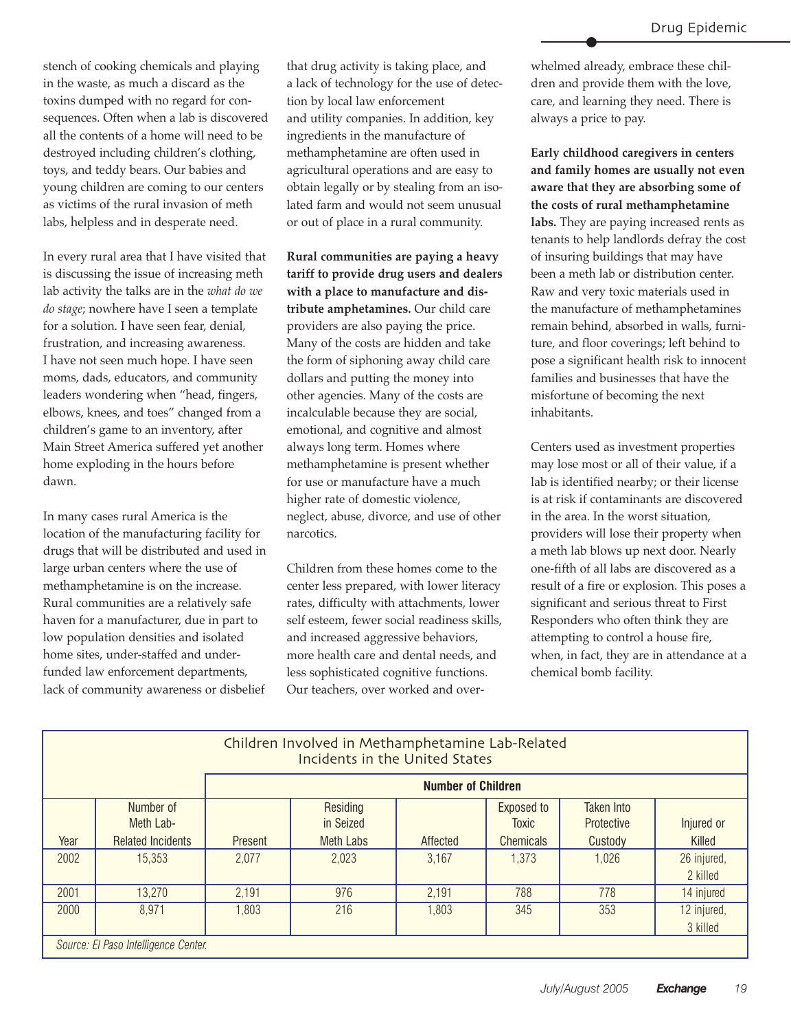stench of cooking chemicals and playing in the waste, as much a discard as the toxins dumped with no regard for consequences. Often when a lab is discovered all the contents of a home will need to be destroyed including children's clothing, toys, and teddy bears. Our babies and young children are coming to our centers as victims of the rural invasion of meth labs, helpless and in desperate need.

In every rural area that I have visited that is discussing the issue of increasing meth lab activity the talks are in the *what do we do stage*; nowhere have I seen a template for a solution. I have seen fear, denial, frustration, and increasing awareness. I have not seen much hope. I have seen moms, dads, educators, and community leaders wondering when "head, fingers, elbows, knees, and toes" changed from a children's game to an inventory, after Main Street America suffered yet another home exploding in the hours before dawn.

In many cases rural America is the location of the manufacturing facility for drugs that will be distributed and used in large urban centers where the use of methamphetamine is on the increase. Rural communities are a relatively safe haven for a manufacturer, due in part to low population densities and isolated home sites, under-staffed and underfunded law enforcement departments, lack of community awareness or disbelief

that drug activity is taking place, and a lack of technology for the use of detection by local law enforcement and utility companies. In addition, key ingredients in the manufacture of methamphetamine are often used in agricultural operations and are easy to obtain legally or by stealing from an isolated farm and would not seem unusual or out of place in a rural community.

**Rural communities are paying a heavy tariff to provide drug users and dealers with a place to manufacture and distribute amphetamines.** Our child care providers are also paying the price. Many of the costs are hidden and take the form of siphoning away child care dollars and putting the money into other agencies. Many of the costs are incalculable because they are social, emotional, and cognitive and almost always long term. Homes where methamphetamine is present whether for use or manufacture have a much higher rate of domestic violence, neglect, abuse, divorce, and use of other narcotics.

Children from these homes come to the center less prepared, with lower literacy rates, difficulty with attachments, lower self esteem, fewer social readiness skills, and increased aggressive behaviors, more health care and dental needs, and less sophisticated cognitive functions. Our teachers, over worked and over-

whelmed already, embrace these children and provide them with the love, care, and learning they need. There is always a price to pay.

**Early childhood caregivers in centers and family homes are usually not even aware that they are absorbing some of the costs of rural methamphetamine labs.** They are paying increased rents as tenants to help landlords defray the cost of insuring buildings that may have been a meth lab or distribution center. Raw and very toxic materials used in the manufacture of methamphetamines remain behind, absorbed in walls, furniture, and floor coverings; left behind to pose a significant health risk to innocent families and businesses that have the misfortune of becoming the next inhabitants.

Centers used as investment properties may lose most or all of their value, if a lab is identified nearby; or their license is at risk if contaminants are discovered in the area. In the worst situation, providers will lose their property when a meth lab blows up next door. Nearly one-fifth of all labs are discovered as a result of a fire or explosion. This poses a significant and serious threat to First Responders who often think they are attempting to control a house fire, when, in fact, they are in attendance at a chemical bomb facility.

| Children Involved in Methamphetamine Lab-Related<br><b>Incidents in the United States</b> |                                                    |                           |                                           |          |                                                |                                            |                         |
|-------------------------------------------------------------------------------------------|----------------------------------------------------|---------------------------|-------------------------------------------|----------|------------------------------------------------|--------------------------------------------|-------------------------|
|                                                                                           |                                                    | <b>Number of Children</b> |                                           |          |                                                |                                            |                         |
| Year                                                                                      | Number of<br>Meth Lab-<br><b>Related Incidents</b> | <b>Present</b>            | Residing<br>in Seized<br><b>Meth Labs</b> | Affected | Exposed to<br><b>Toxic</b><br><b>Chemicals</b> | <b>Taken Into</b><br>Protective<br>Custody | Injured or<br>Killed    |
| 2002                                                                                      | 15,353                                             | 2,077                     | 2,023                                     | 3,167    | 1,373                                          | 1,026                                      | 26 injured,<br>2 killed |
| 2001                                                                                      | 13,270                                             | 2,191                     | 976                                       | 2,191    | 788                                            | 778                                        | 14 injured              |
| 2000                                                                                      | 8,971                                              | 1,803                     | 216                                       | 1,803    | 345                                            | 353                                        | 12 injured,<br>3 killed |
| Source: El Paso Intelligence Center.                                                      |                                                    |                           |                                           |          |                                                |                                            |                         |